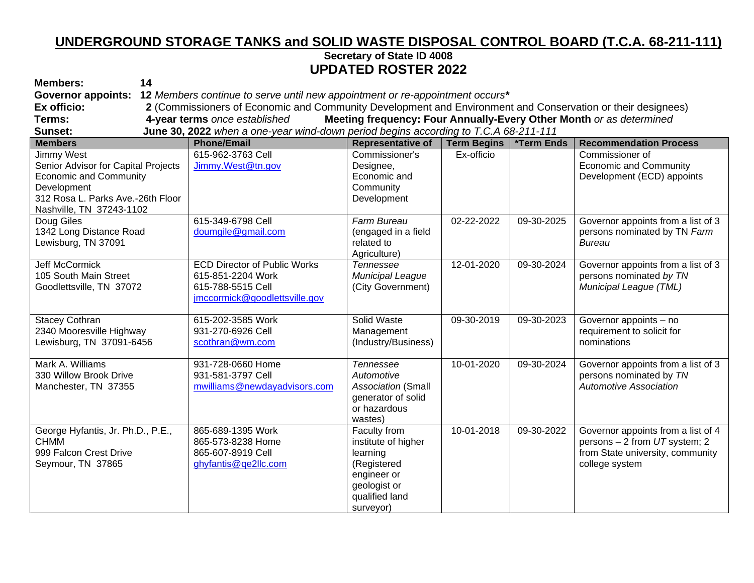## **UNDERGROUND STORAGE TANKS and SOLID WASTE DISPOSAL CONTROL BOARD (T.C.A. 68-211-111) Secretary of State ID 4008 UPDATED ROSTER 2022**

| <b>Members:</b><br>14                                                                                                                                                     |                                                                                                                |                                                                                                                              |                    |            |                                                                                                                           |  |  |  |  |
|---------------------------------------------------------------------------------------------------------------------------------------------------------------------------|----------------------------------------------------------------------------------------------------------------|------------------------------------------------------------------------------------------------------------------------------|--------------------|------------|---------------------------------------------------------------------------------------------------------------------------|--|--|--|--|
| <b>Governor appoints:</b>                                                                                                                                                 | 12 Members continue to serve until new appointment or re-appointment occurs*                                   |                                                                                                                              |                    |            |                                                                                                                           |  |  |  |  |
| Ex officio:                                                                                                                                                               | 2 (Commissioners of Economic and Community Development and Environment and Conservation or their designees)    |                                                                                                                              |                    |            |                                                                                                                           |  |  |  |  |
| Terms:                                                                                                                                                                    | 4-year terms once established<br>Meeting frequency: Four Annually-Every Other Month or as determined           |                                                                                                                              |                    |            |                                                                                                                           |  |  |  |  |
| Sunset:                                                                                                                                                                   | June 30, 2022 when a one-year wind-down period begins according to T.C.A 68-211-111                            |                                                                                                                              |                    |            |                                                                                                                           |  |  |  |  |
| <b>Members</b>                                                                                                                                                            | <b>Phone/Email</b>                                                                                             | <b>Representative of</b>                                                                                                     | <b>Term Begins</b> | *Term Ends | <b>Recommendation Process</b>                                                                                             |  |  |  |  |
| <b>Jimmy West</b><br>Senior Advisor for Capital Projects<br><b>Economic and Community</b><br>Development<br>312 Rosa L. Parks Ave.-26th Floor<br>Nashville, TN 37243-1102 | 615-962-3763 Cell<br>Jimmy.West@tn.gov                                                                         | Commissioner's<br>Designee,<br>Economic and<br>Community<br>Development                                                      | Ex-officio         |            | Commissioner of<br><b>Economic and Community</b><br>Development (ECD) appoints                                            |  |  |  |  |
| Doug Giles<br>1342 Long Distance Road<br>Lewisburg, TN 37091                                                                                                              | 615-349-6798 Cell<br>doumgile@gmail.com                                                                        | Farm Bureau<br>(engaged in a field<br>related to<br>Agriculture)                                                             | 02-22-2022         | 09-30-2025 | Governor appoints from a list of 3<br>persons nominated by TN Farm<br><b>Bureau</b>                                       |  |  |  |  |
| Jeff McCormick<br>105 South Main Street<br>Goodlettsville, TN 37072                                                                                                       | <b>ECD Director of Public Works</b><br>615-851-2204 Work<br>615-788-5515 Cell<br>jmccormick@goodlettsville.gov | <b>Tennessee</b><br>Municipal League<br>(City Government)                                                                    | 12-01-2020         | 09-30-2024 | Governor appoints from a list of 3<br>persons nominated by TN<br>Municipal League (TML)                                   |  |  |  |  |
| <b>Stacey Cothran</b><br>2340 Mooresville Highway<br>Lewisburg, TN 37091-6456                                                                                             | 615-202-3585 Work<br>931-270-6926 Cell<br>scothran@wm.com                                                      | Solid Waste<br>Management<br>(Industry/Business)                                                                             | 09-30-2019         | 09-30-2023 | Governor appoints - no<br>requirement to solicit for<br>nominations                                                       |  |  |  |  |
| Mark A. Williams<br>330 Willow Brook Drive<br>Manchester, TN 37355                                                                                                        | 931-728-0660 Home<br>931-581-3797 Cell<br>mwilliams@newdayadvisors.com                                         | <b>Tennessee</b><br>Automotive<br><b>Association (Small</b><br>generator of solid<br>or hazardous<br>wastes)                 | 10-01-2020         | 09-30-2024 | Governor appoints from a list of 3<br>persons nominated by TN<br><b>Automotive Association</b>                            |  |  |  |  |
| George Hyfantis, Jr. Ph.D., P.E.,<br><b>CHMM</b><br>999 Falcon Crest Drive<br>Seymour, TN 37865                                                                           | 865-689-1395 Work<br>865-573-8238 Home<br>865-607-8919 Cell<br>ghyfantis@qe2llc.com                            | Faculty from<br>institute of higher<br>learning<br>(Registered<br>engineer or<br>geologist or<br>qualified land<br>surveyor) | 10-01-2018         | 09-30-2022 | Governor appoints from a list of 4<br>persons - 2 from UT system; 2<br>from State university, community<br>college system |  |  |  |  |